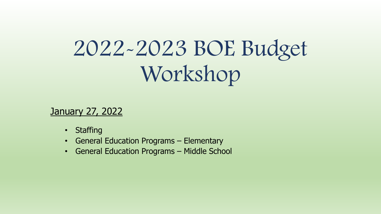# 2022-2023 BOE Budget Workshop

January 27, 2022

- Staffing
- General Education Programs Elementary
- General Education Programs Middle School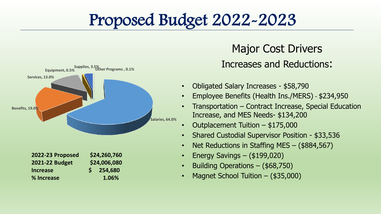#### Proposed Budget 2022-2023



#### Major Cost Drivers Increases and Reductions:

- Obligated Salary Increases \$58,790
- Employee Benefits (Health Ins./MERS) \$234,950
- Transportation Contract Increase, Special Education Increase, and MES Needs- \$134,200
- Outplacement Tuition \$175,000
- Shared Custodial Supervisor Position \$33,536
- Net Reductions in Staffing MES (\$884,567)
- Energy Savings (\$199,020)
- Building Operations (\$68,750)
- Magnet School Tuition (\$35,000)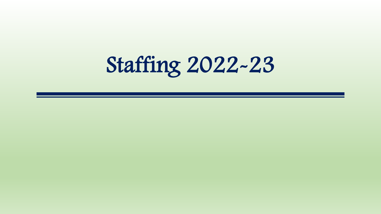Staffing 2022-23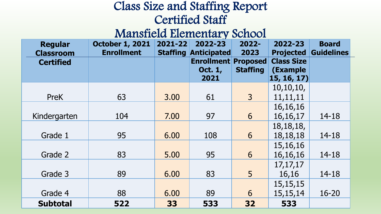#### Class Size and Staffing Report Certified Staff

#### Mansfield Elementary School

| <b>Regular</b><br><b>Classroom</b> | <b>October 1, 2021</b><br><b>Enrollment</b> | 2021-22 | 2022-23<br><b>Staffing Anticipated</b> | $2022 -$<br>2023 | 2022-23<br><b>Projected</b> | <b>Board</b><br><b>Guidelines</b> |
|------------------------------------|---------------------------------------------|---------|----------------------------------------|------------------|-----------------------------|-----------------------------------|
| <b>Certified</b>                   |                                             |         | <b>Enrollment Proposed</b>             |                  | <b>Class Size</b>           |                                   |
|                                    |                                             |         | <b>Oct. 1,</b><br>2021                 | <b>Staffing</b>  | (Example<br>15, 16, 17)     |                                   |
|                                    |                                             |         |                                        |                  | 10, 10, 10,                 |                                   |
| <b>PreK</b>                        | 63                                          | 3.00    | 61                                     | 3 <sup>1</sup>   | 11,11,11                    |                                   |
|                                    |                                             |         |                                        |                  | 16, 16, 16                  |                                   |
| Kindergarten                       | 104                                         | 7.00    | 97                                     | 6                | 16, 16, 17                  | $14 - 18$                         |
|                                    |                                             |         |                                        |                  | 18, 18, 18,                 |                                   |
| Grade 1                            | 95                                          | 6.00    | 108                                    | 6                | 18, 18, 18                  | $14 - 18$                         |
|                                    |                                             |         |                                        |                  | 15, 16, 16                  |                                   |
| Grade 2                            | 83                                          | 5.00    | 95                                     | 6                | 16, 16, 16                  | $14 - 18$                         |
|                                    |                                             |         |                                        |                  | 17, 17, 17                  |                                   |
| Grade 3                            | 89                                          | 6.00    | 83                                     | 5                | 16,16                       | $14 - 18$                         |
|                                    |                                             |         |                                        |                  | 15, 15, 15                  |                                   |
| Grade 4                            | 88                                          | 6.00    | 89                                     | 6                | 15, 15, 14                  | 16-20                             |
| <b>Subtotal</b>                    | 522                                         | 33      | 533                                    | 32               | 533                         |                                   |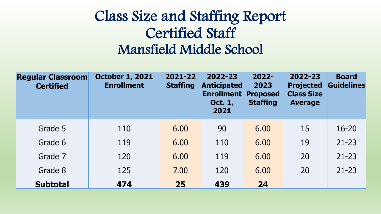#### Class Size and Staffing Report Certified Staff Mansfield Middle School

| <b>Regular Classroom</b><br><b>Certified</b> | <b>October 1, 2021</b><br><b>Enrollment</b> | 2021-22<br><b>Staffing</b> | 2022-23<br><b>Anticipated</b><br><b>Enrollment</b><br><b>Oct. 1,</b><br>2021 | $2022 -$<br>2023<br><b>Proposed</b><br><b>Staffing</b> | 2022-23<br><b>Projected</b><br><b>Class Size</b><br><b>Average</b> | <b>Board</b><br><b>Guidelines</b> |
|----------------------------------------------|---------------------------------------------|----------------------------|------------------------------------------------------------------------------|--------------------------------------------------------|--------------------------------------------------------------------|-----------------------------------|
| Grade 5                                      | 110                                         | 6.00                       | 90                                                                           | 6.00                                                   | 15                                                                 | $16 - 20$                         |
| Grade 6                                      | 119                                         | 6.00                       | 110                                                                          | 6.00                                                   | 19                                                                 | $21 - 23$                         |
| Grade 7                                      | 120                                         | 6.00                       | 119                                                                          | 6.00                                                   | 20                                                                 | $21 - 23$                         |
| Grade 8                                      | 125                                         | 7.00                       | 120                                                                          | 6.00                                                   | 20                                                                 | $21 - 23$                         |
| <b>Subtotal</b>                              | 474                                         | 25                         | 439                                                                          | 24                                                     |                                                                    |                                   |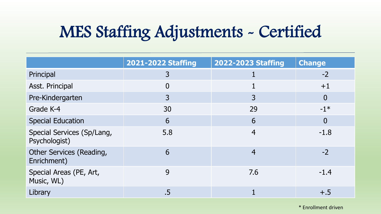## MES Staffing Adjustments - Certified

|                                                | 2021-2022 Staffing | 2022-2023 Staffing | <b>Change</b>  |
|------------------------------------------------|--------------------|--------------------|----------------|
| Principal                                      | 3                  |                    | $-2$           |
| Asst. Principal                                | 0                  |                    | $+1$           |
| Pre-Kindergarten                               | $\overline{3}$     | 3                  | $\overline{0}$ |
| Grade K-4                                      | 30                 | 29                 | $-1*$          |
| <b>Special Education</b>                       | 6                  | 6                  | $\overline{0}$ |
| Special Services (Sp/Lang,<br>Psychologist)    | 5.8                | $\overline{4}$     | $-1.8$         |
| <b>Other Services (Reading,</b><br>Enrichment) | 6                  | $\overline{4}$     | $-2$           |
| Special Areas (PE, Art,<br>Music, WL)          | 9                  | 7.6                | $-1.4$         |
| Library                                        | .5                 |                    | $+.5$          |

\* Enrollment driven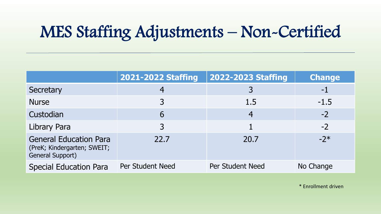## MES Staffing Adjustments – Non-Certified

|                                                                                  | 2021-2022 Staffing | 2022-2023 Staffing | <b>Change</b> |
|----------------------------------------------------------------------------------|--------------------|--------------------|---------------|
| Secretary                                                                        | 4                  |                    | $-1$          |
| <b>Nurse</b>                                                                     | 3                  | 1.5                | $-1.5$        |
| Custodian                                                                        | 6                  | $\overline{4}$     | $-2$          |
| Library Para                                                                     | 3                  |                    | $-2$          |
| <b>General Education Para</b><br>(PreK; Kindergarten; SWEIT;<br>General Support) | 22.7               | 20.7               | $-2*$         |
| <b>Special Education Para</b>                                                    | Per Student Need   | Per Student Need   | No Change     |

\* Enrollment driven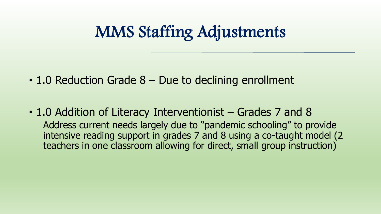#### MMS Staffing Adjustments

- 1.0 Reduction Grade 8 Due to declining enrollment
- 1.0 Addition of Literacy Interventionist Grades 7 and 8 Address current needs largely due to "pandemic schooling" to provide intensive reading support in grades 7 and 8 using a co-taught model (2 teachers in one classroom allowing for direct, small group instruction)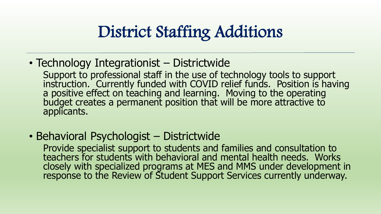### District Staffing Additions

• Technology Integrationist – Districtwide

Support to professional staff in the use of technology tools to support instruction. Currently funded with COVID relief funds. Position is having a positive effect on teaching and learning. Moving to the operating budget creates a permanent position that will be more attractive to applicants.

• Behavioral Psychologist – Districtwide

Provide specialist support to students and families and consultation to teachers for students with behavioral and mental health needs. Works closely with specialized programs at MES and MMS under development in response to the Review of Student Support Services currently underway.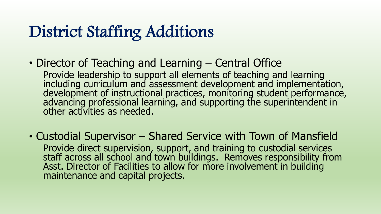### District Staffing Additions

- Director of Teaching and Learning Central Office Provide leadership to support all elements of teaching and learning including curriculum and assessment development and implementation, development of instructional practices, monitoring student performance, advancing professional learning, and supporting the superintendent in other activities as needed.
- Custodial Supervisor Shared Service with Town of Mansfield Provide direct supervision, support, and training to custodial services staff across all school and town buildings. Removes responsibility from Asst. Director of Facilities to allow for more involvement in building maintenance and capital projects.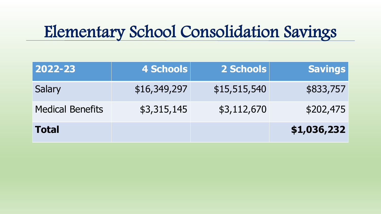#### Elementary School Consolidation Savings

| 2022-23                 | 4 Schools    | 2 Schools    | <b>Savings</b> |
|-------------------------|--------------|--------------|----------------|
| Salary                  | \$16,349,297 | \$15,515,540 | \$833,757      |
| <b>Medical Benefits</b> | \$3,315,145  | \$3,112,670  | \$202,475      |
| <b>Total</b>            |              |              | \$1,036,232    |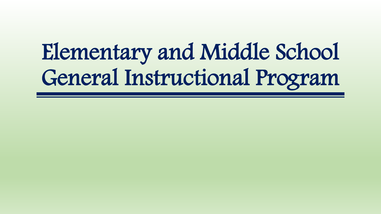# Elementary and Middle School General Instructional Program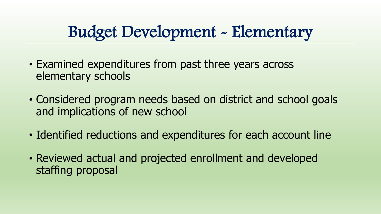## Budget Development - Elementary

- Examined expenditures from past three years across elementary schools
- Considered program needs based on district and school goals and implications of new school
- Identified reductions and expenditures for each account line
- Reviewed actual and projected enrollment and developed staffing proposal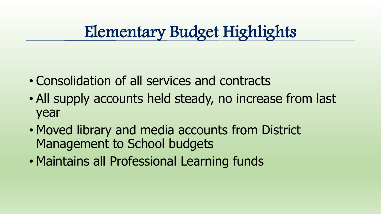#### Elementary Budget Highlights

- Consolidation of all services and contracts
- All supply accounts held steady, no increase from last year
- Moved library and media accounts from District Management to School budgets
- Maintains all Professional Learning funds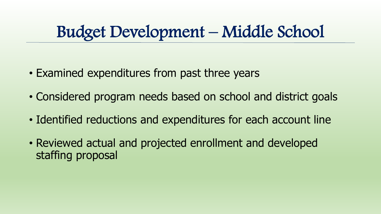#### Budget Development – Middle School

- Examined expenditures from past three years
- Considered program needs based on school and district goals
- Identified reductions and expenditures for each account line
- Reviewed actual and projected enrollment and developed staffing proposal